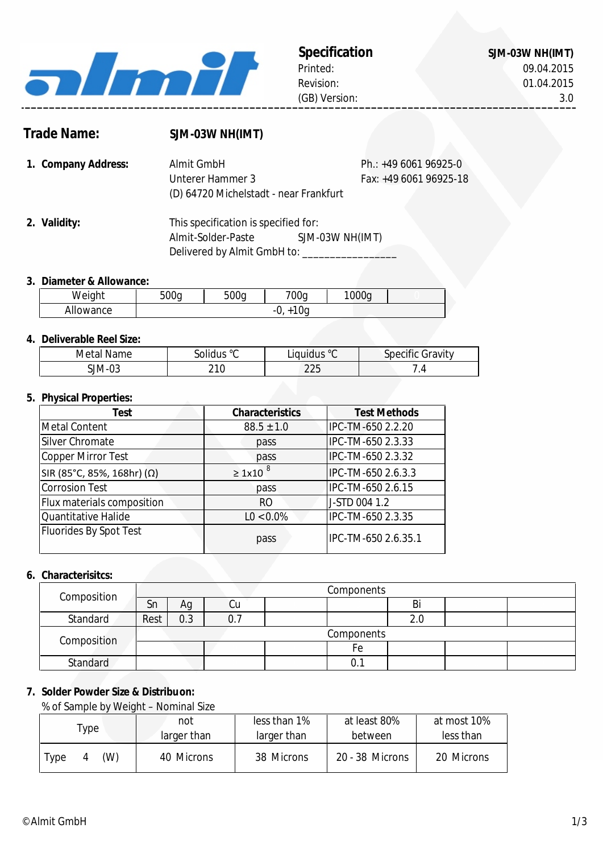

SJM-03W NH(IMT)

# **Trade Name:**

# **SJM-03W NH(IMT)**

Almit-Solder-Paste

| 1. Company Address: | Almit GmbH                             | Ph.: $+49606196925-0$  |
|---------------------|----------------------------------------|------------------------|
|                     | Unterer Hammer 3                       | Fax: +49 6061 96925-18 |
|                     | (D) 64720 Michelstadt - near Frankfurt |                        |
|                     |                                        |                        |
| 2. Validity:        | This specification is specified for:   |                        |

Delivered by Almit GmbH to: \_\_\_\_\_\_\_\_\_

# **3. Diameter & Allowance:**

| Weight         | 500a<br>$\mathsf{h}$ | r o o<br>JUC<br>$\mathbf{h}$ | 700q     | 1000g |  |
|----------------|----------------------|------------------------------|----------|-------|--|
| owance<br>AllC |                      |                              | 0a<br>υ. |       |  |

### **4. Deliverable Reel Size:**

| Metal Name | solidus ° <sup>c</sup> | Liquidus °C | Specific Gravity |
|------------|------------------------|-------------|------------------|
| SJM-03     | 210<br>2 I I           | 225         |                  |

### **5. Physical Properties:**

| Test                                | <b>Characteristics</b> | <b>Test Methods</b> |
|-------------------------------------|------------------------|---------------------|
| Metal Content                       | $88.5 \pm 1.0$         | IPC-TM-650 2.2.20   |
| Silver Chromate                     | pass                   | IPC-TM-650 2.3.33   |
| Copper Mirror Test                  | pass                   | IPC-TM-650 2.3.32   |
| SIR (85°C, 85%, 168hr) ( $\Omega$ ) | $\geq 1x10^{8}$        | IPC-TM-650 2.6.3.3  |
| <b>Corrosion Test</b>               | pass                   | IPC-TM-650 2.6.15   |
| Flux materials composition          | R <sub>O</sub>         | J-STD 004 1.2       |
| Quantitative Halide                 | $LO < 0.0\%$           | IPC-TM-650 2.3.35   |
| Fluorides By Spot Test              | pass                   | IPC-TM-650 2.6.35.1 |

# **6. Characterisitcs:**

| Composition |            |     |     | Components |
|-------------|------------|-----|-----|------------|
|             | Sn         | Аg  | Cu  | Bi         |
| Standard    | Rest       | 0.3 | U., | 2.0        |
| Composition | Components |     |     |            |
|             |            |     |     | Fe         |
| Standard    |            |     |     | 0.1        |

## **7. Solder Powder Size & Distribuon:**

% of Sample by Weight – Nominal Size

|             | not         | less than 1% | at least 80%    | at most 10% |  |  |
|-------------|-------------|--------------|-----------------|-------------|--|--|
| 'ype        | larger than | larger than  | between         | less than   |  |  |
| (W)<br>Type | 40 Microns  | 38 Microns   | 20 - 38 Microns | 20 Microns  |  |  |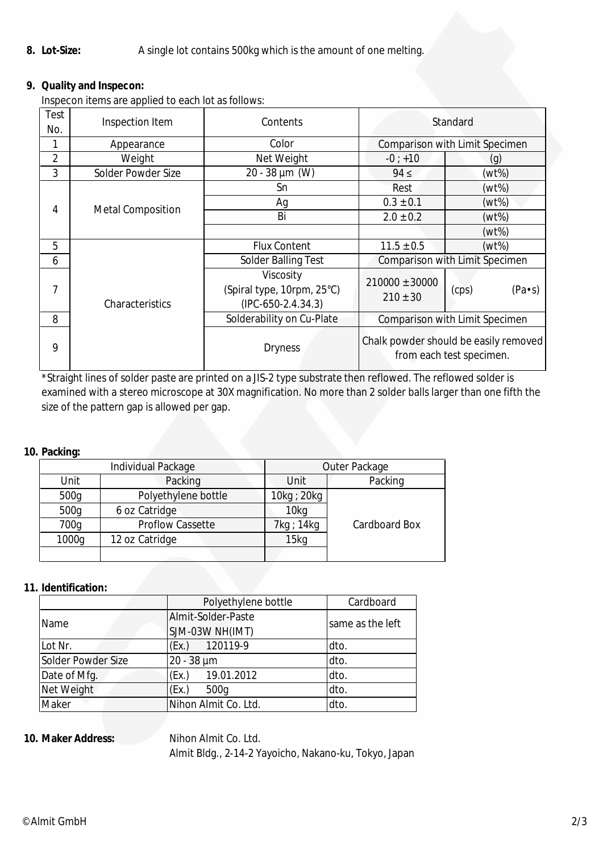#### **8. Lot-Size:** A single lot contains 500kg which is the amount of one melting.

# **9. Quality and Inspecon:**

Inspecon items are applied to each lot as follows:

| Test<br>No. | Inspection Item          | Contents                                                        | Standard                           |                                                                   |
|-------------|--------------------------|-----------------------------------------------------------------|------------------------------------|-------------------------------------------------------------------|
|             | Appearance               | Color                                                           |                                    | Comparison with Limit Specimen                                    |
| 2           | Weight                   | Net Weight                                                      | $-0; +10$                          | (g)                                                               |
| 3           | Solder Powder Size       | $20 - 38 \mu m$ (W)                                             | $94 \leq$                          | (wt%)                                                             |
|             |                          | Sn                                                              | Rest                               | $(wt\%)$                                                          |
| 4           |                          | Ag                                                              | $0.3 \pm 0.1$                      | (wt%)                                                             |
|             | <b>Metal Composition</b> | Bi                                                              | $2.0 \pm 0.2$                      | $(wt\%)$                                                          |
|             |                          |                                                                 |                                    | (wt%)                                                             |
| 5           |                          | Flux Content                                                    | $11.5 \pm 0.5$                     | $(wt\%)$                                                          |
| 6           |                          | <b>Solder Balling Test</b>                                      |                                    | Comparison with Limit Specimen                                    |
| 7           | Characteristics          | Viscosity<br>(Spiral type, 10rpm, 25°C)<br>$(IPC-650-2.4.34.3)$ | $210000 \pm 30000$<br>$210 \pm 30$ | $(Pa \cdot s)$<br>(cps)                                           |
| 8           |                          | Solderability on Cu-Plate                                       |                                    | Comparison with Limit Specimen                                    |
| 9           |                          | <b>Dryness</b>                                                  |                                    | Chalk powder should be easily removed<br>from each test specimen. |

\*Straight lines of solder paste are printed on a JIS-2 type substrate then reflowed. The reflowed solder is examined with a stereo microscope at 30X magnification. No more than 2 solder balls larger than one fifth the size of the pattern gap is allowed per gap.

### **10. Packing:**

|       | Individual Package      | Outer Package    |               |  |
|-------|-------------------------|------------------|---------------|--|
| Unit  | Packing                 | Unit             | Packing       |  |
| 500g  | Polyethylene bottle     | 10kg ; 20kg      |               |  |
| 500g  | 6 oz Catridge           | 10kg             |               |  |
| 700g  | <b>Proflow Cassette</b> | 7kg ; 14kg       | Cardboard Box |  |
| 1000g | 12 oz Catridge          | 15 <sub>kq</sub> |               |  |
|       |                         |                  |               |  |

### **11. Identification:**

|                    | Polyethylene bottle  | Cardboard        |
|--------------------|----------------------|------------------|
| Name               | Almit-Solder-Paste   | same as the left |
|                    | SJM-03W NH(IMT)      |                  |
| Lot Nr.            | 120119-9<br>(EX)     | dto.             |
| Solder Powder Size | 20 - 38 µm           | dto.             |
| Date of Mfg.       | 19.01.2012<br>(EX.)  | dto.             |
| Net Weight         | (EX.)<br>500g        | dto.             |
| Maker              | Nihon Almit Co. Ltd. | dto.             |

### **10.**

**Nihon Almit Co. Ltd.** Almit Bldg., 2-14-2 Yayoicho, Nakano-ku, Tokyo, Japan